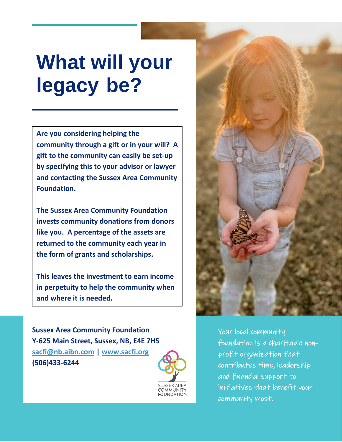## **What will your legacy be?**

**Are you considering helping the community through a gift or in your will? A gift to the community can easily be set-up by specifying this to your advisor or lawyer and contacting the Sussex Area Community Foundation.**

**The Sussex Area Community Foundation invests community donations from donors like you. A percentage of the assets are returned to the community each year in the form of grants and scholarships.**

**This leaves the investment to earn income in perpetuity to help the community when and where it is needed.** 

**Sussex Area Community Foundation Y-625 Main Street, Sussex, NB, E4E 7H5 [sacfi@nb.aibn.com](mailto:sacfi@nb.aibn.com) | [www.sacfi.org](http://www.sacfi.org/) (506)433-6244**





Your local community foundation is a charitable nonprofit organization that contributes time, leadership and financial support to initiatives that benefit your community most.